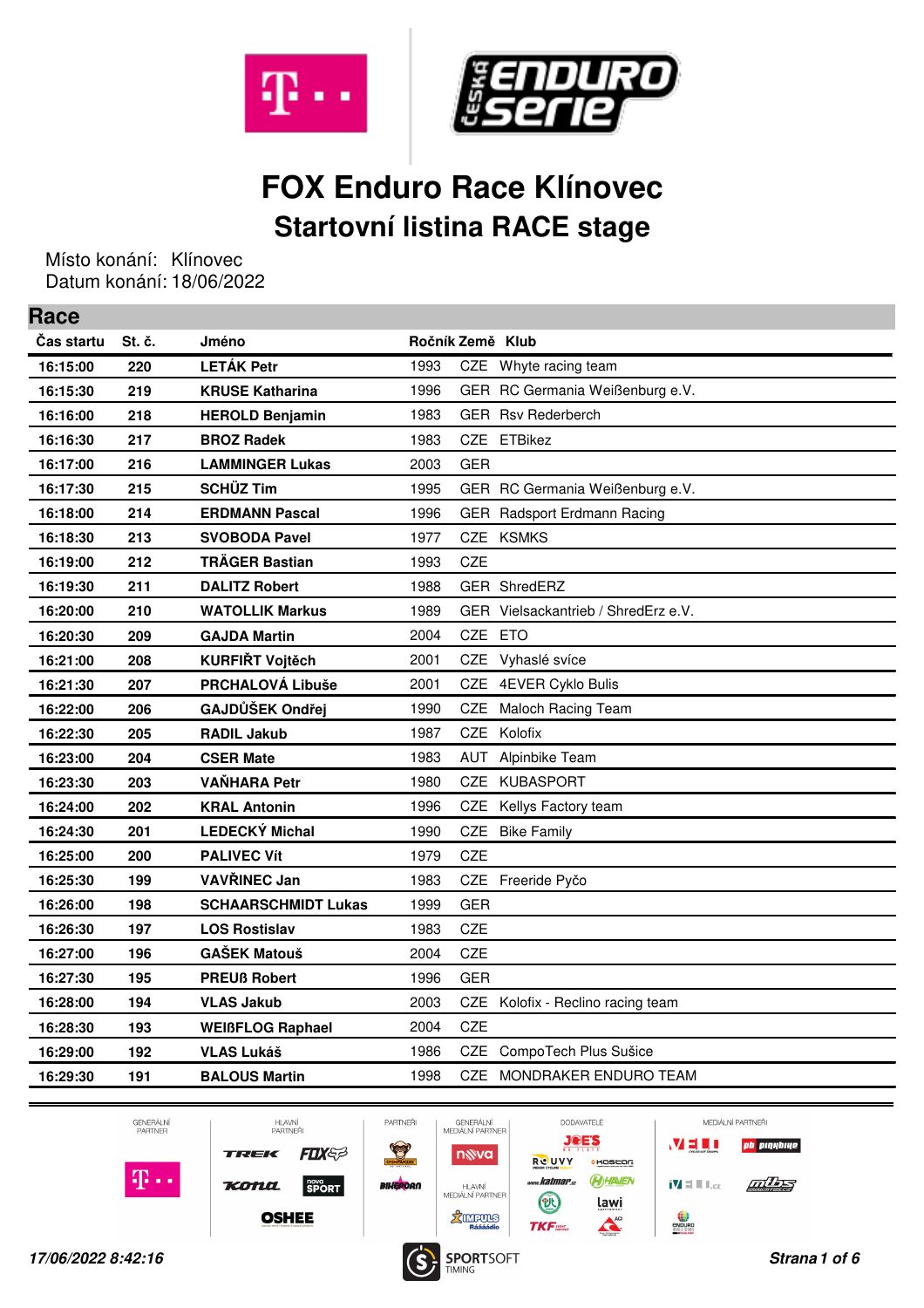



## **FOX Enduro Race Klínovec Startovní listina RACE stage**

Místo konání: Klínovec Datum konání: 18/06/2022

**Race**

| nace       |        |                            |                  |            |                                     |
|------------|--------|----------------------------|------------------|------------|-------------------------------------|
| Cas startu | St. č. | Jméno                      | Ročník Země Klub |            |                                     |
| 16:15:00   | 220    | <b>LETÁK Petr</b>          | 1993             | CZE        | Whyte racing team                   |
| 16:15:30   | 219    | <b>KRUSE Katharina</b>     | 1996             |            | GER RC Germania Weißenburg e.V.     |
| 16:16:00   | 218    | <b>HEROLD Benjamin</b>     | 1983             |            | <b>GER</b> Rsv Rederberch           |
| 16:16:30   | 217    | <b>BROZ Radek</b>          | 1983             |            | CZE ETBikez                         |
| 16:17:00   | 216    | <b>LAMMINGER Lukas</b>     | 2003             | <b>GER</b> |                                     |
| 16:17:30   | 215    | <b>SCHÜZ Tim</b>           | 1995             |            | GER RC Germania Weißenburg e.V.     |
| 16:18:00   | 214    | <b>ERDMANN Pascal</b>      | 1996             |            | GER Radsport Erdmann Racing         |
| 16:18:30   | 213    | <b>SVOBODA Pavel</b>       | 1977             |            | CZE KSMKS                           |
| 16:19:00   | 212    | <b>TRÄGER Bastian</b>      | 1993             | CZE        |                                     |
| 16:19:30   | 211    | <b>DALITZ Robert</b>       | 1988             |            | GER ShredERZ                        |
| 16:20:00   | 210    | <b>WATOLLIK Markus</b>     | 1989             |            | GER Vielsackantrieb / ShredErz e.V. |
| 16:20:30   | 209    | <b>GAJDA Martin</b>        | 2004             | CZE ETO    |                                     |
| 16:21:00   | 208    | <b>KURFIŘT Vojtěch</b>     | 2001             |            | CZE Vyhaslé svíce                   |
| 16:21:30   | 207    | PRCHALOVÁ Libuše           | 2001             | CZE        | 4EVER Cyklo Bulis                   |
| 16:22:00   | 206    | GAJDŮŠEK Ondřej            | 1990             | CZE        | Maloch Racing Team                  |
| 16:22:30   | 205    | <b>RADIL Jakub</b>         | 1987             | <b>CZE</b> | Kolofix                             |
| 16:23:00   | 204    | <b>CSER Mate</b>           | 1983             | AUT        | Alpinbike Team                      |
| 16:23:30   | 203    | <b>VAŇHARA Petr</b>        | 1980             |            | CZE KUBASPORT                       |
| 16:24:00   | 202    | <b>KRAL Antonin</b>        | 1996             | CZE        | Kellys Factory team                 |
| 16:24:30   | 201    | <b>LEDECKÝ Michal</b>      | 1990             | CZE        | <b>Bike Family</b>                  |
| 16:25:00   | 200    | <b>PALIVEC Vít</b>         | 1979             | <b>CZE</b> |                                     |
| 16:25:30   | 199    | VAVŘINEC Jan               | 1983             |            | CZE Freeride Pyčo                   |
| 16:26:00   | 198    | <b>SCHAARSCHMIDT Lukas</b> | 1999             | <b>GER</b> |                                     |
| 16:26:30   | 197    | <b>LOS Rostislav</b>       | 1983             | <b>CZE</b> |                                     |
| 16:27:00   | 196    | <b>GAŠEK Matouš</b>        | 2004             | CZE        |                                     |
| 16:27:30   | 195    | <b>PREUß Robert</b>        | 1996             | <b>GER</b> |                                     |
| 16:28:00   | 194    | <b>VLAS Jakub</b>          | 2003             |            | CZE Kolofix - Reclino racing team   |
| 16:28:30   | 193    | <b>WEIBFLOG Raphael</b>    | 2004             | CZE        |                                     |
| 16:29:00   | 192    | VLAS Lukáš                 | 1986             | CZE        | CompoTech Plus Sušice               |
| 16:29:30   | 191    | <b>BALOUS Martin</b>       | 1998             | <b>CZE</b> | MONDRAKER ENDURO TEAM               |
|            |        |                            |                  |            |                                     |



HLAVNÍ<br>PARTNEŘI FLX **TREK** Kona SPORT

**OSHEE** 

PARTNEŘI  $\frac{1}{\sqrt{2}}$ **BIHERDAN** 



**JOE'S CHOSEOR BHAVEN** lawi ACI

MEDIÁLNÍ PARTNEŘI VELI **pb** pinybiye  $\mathbf{N} \equiv \mathbf{N} \mathbf{1}_{\text{c}z}$ **Address** endurg<br>Wiki Hill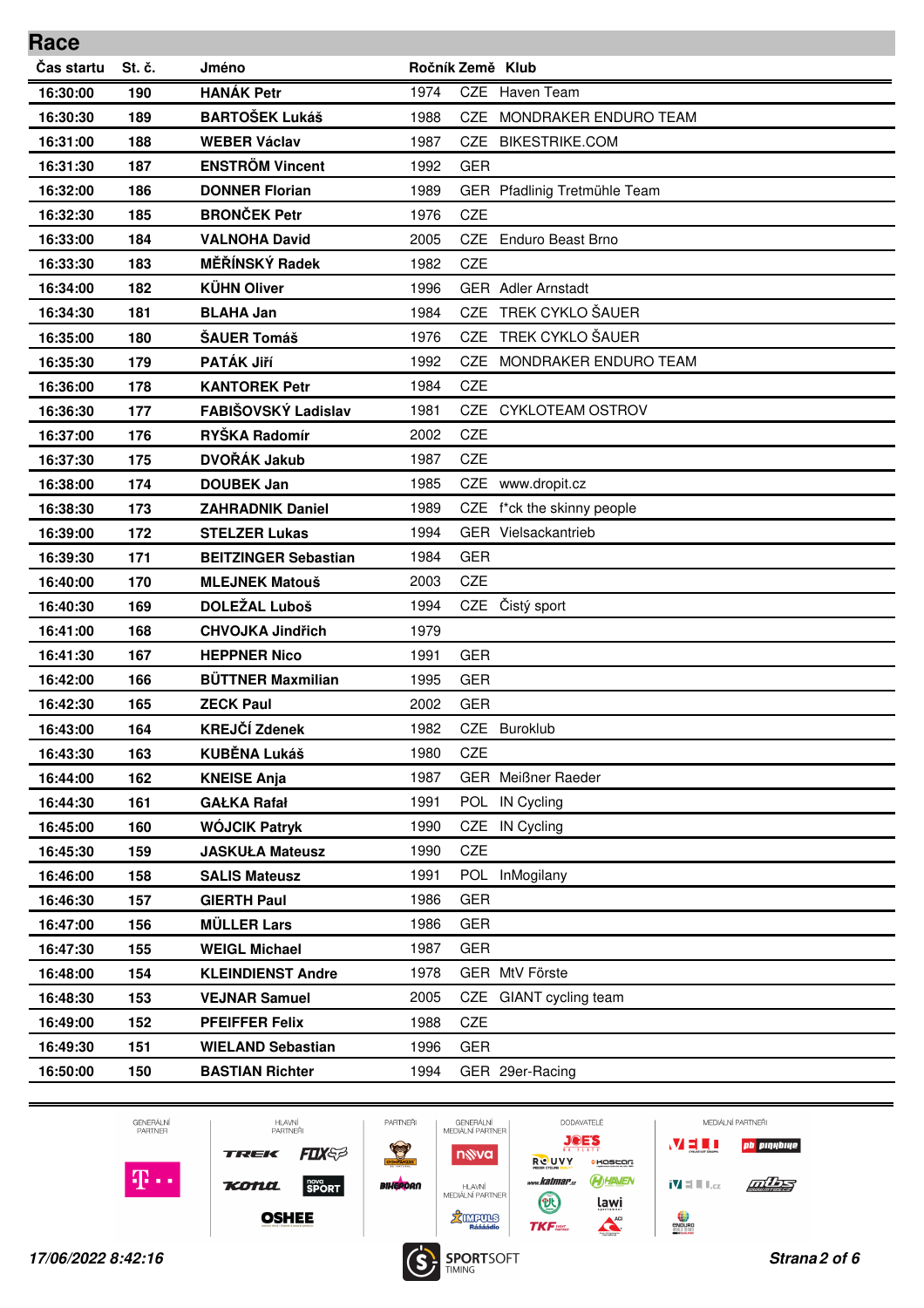| Čas startu<br>St. č.<br>Ročník Země Klub<br>Jméno<br><b>HANÁK Petr</b><br>Haven Team<br>1974<br><b>CZE</b><br>190<br>16:30:00<br><b>BARTOŠEK Lukáš</b><br>1988<br>MONDRAKER ENDURO TEAM<br><b>CZE</b><br>16:30:30<br>189<br><b>WEBER Václav</b><br><b>BIKESTRIKE.COM</b><br>16:31:00<br>188<br>1987<br>CZE<br><b>ENSTRÖM Vincent</b><br>187<br>16:31:30<br>1992<br><b>GER</b><br>GER Pfadlinig Tretmühle Team<br>16:32:00<br>186<br><b>DONNER Florian</b><br>1989<br><b>BRONČEK Petr</b><br>185<br>1976<br><b>CZE</b><br>16:32:30<br><b>VALNOHA David</b><br>2005<br><b>CZE</b><br><b>Enduro Beast Brno</b><br>16:33:00<br>184<br>MĚŘÍNSKÝ Radek<br>CZE<br>1982<br>16:33:30<br>183<br><b>KÜHN Oliver</b><br>182<br>1996<br><b>GER</b> Adler Arnstadt<br>16:34:00<br>TREK CYKLO ŠAUER<br>1984<br>181<br><b>BLAHA Jan</b><br>CZE<br>16:34:30<br>TREK CYKLO ŠAUER<br>ŠAUER Tomáš<br>1976<br><b>CZE</b><br>16:35:00<br>180<br><b>PATÁK Jiří</b><br>1992<br>MONDRAKER ENDURO TEAM<br>179<br>CZE.<br>16:35:30<br><b>KANTOREK Petr</b><br>1984<br><b>CZE</b><br>16:36:00<br>178<br>FABIŠOVSKÝ Ladislav<br>1981<br><b>CYKLOTEAM OSTROV</b><br>16:36:30<br>177<br>CZE<br>RYŠKA Radomír<br>CZE<br>2002<br>16:37:00<br>176<br>DVOŘÁK Jakub<br>1987<br><b>CZE</b><br>16:37:30<br>175<br>1985<br>174<br><b>DOUBEK Jan</b><br>CZE<br>www.dropit.cz<br>16:38:00<br>173<br>1989<br>CZE<br>f*ck the skinny people<br>16:38:30<br><b>ZAHRADNIK Daniel</b><br>1994<br>GER Vielsackantrieb<br>16:39:00<br>172<br><b>STELZER Lukas</b><br><b>GER</b><br>171<br>1984<br>16:39:30<br><b>BEITZINGER Sebastian</b><br>2003<br><b>CZE</b><br>16:40:00<br>170<br><b>MLEJNEK Matouš</b><br>DOLEŽAL Luboš<br>Čistý sport<br>1994<br>CZE<br>169<br>16:40:30<br>1979<br>16:41:00<br>168<br><b>CHVOJKA Jindřich</b><br><b>GER</b><br>167<br><b>HEPPNER Nico</b><br>1991<br>16:41:30<br><b>BÜTTNER Maxmilian</b><br><b>GER</b><br>16:42:00<br>166<br>1995<br><b>GER</b><br>2002<br>16:42:30<br>165<br><b>ZECK Paul</b><br><b>KREJČÍ Zdenek</b><br>16:43:00<br>164<br>1982<br>CZE<br><b>Buroklub</b><br><b>KUBĚNA Lukáš</b><br><b>CZE</b><br>16:43:30<br>163<br>1980<br>1987<br><b>GER</b> Meißner Raeder<br>16:44:00<br>162<br><b>KNEISE Anja</b><br><b>IN Cycling</b><br>161<br><b>GAŁKA Rafał</b><br>1991<br><b>POL</b><br>16:44:30<br>1990<br>IN Cycling<br>16:45:00<br>160<br>WÓJCIK Patryk<br>CZE<br>CZE<br>1990<br>16:45:30<br>159<br><b>JASKUŁA Mateusz</b><br>InMogilany<br>158<br>1991<br><b>POL</b><br>16:46:00<br><b>SALIS Mateusz</b><br>157<br><b>GIERTH Paul</b><br>1986<br><b>GER</b><br>16:46:30<br><b>MÜLLER Lars</b><br><b>GER</b><br>1986<br>16:47:00<br>156<br>155<br><b>WEIGL Michael</b><br>1987<br>GER<br>16:47:30 | Race |  |  |  |
|----------------------------------------------------------------------------------------------------------------------------------------------------------------------------------------------------------------------------------------------------------------------------------------------------------------------------------------------------------------------------------------------------------------------------------------------------------------------------------------------------------------------------------------------------------------------------------------------------------------------------------------------------------------------------------------------------------------------------------------------------------------------------------------------------------------------------------------------------------------------------------------------------------------------------------------------------------------------------------------------------------------------------------------------------------------------------------------------------------------------------------------------------------------------------------------------------------------------------------------------------------------------------------------------------------------------------------------------------------------------------------------------------------------------------------------------------------------------------------------------------------------------------------------------------------------------------------------------------------------------------------------------------------------------------------------------------------------------------------------------------------------------------------------------------------------------------------------------------------------------------------------------------------------------------------------------------------------------------------------------------------------------------------------------------------------------------------------------------------------------------------------------------------------------------------------------------------------------------------------------------------------------------------------------------------------------------------------------------------------------------------------------------------------------------------------------------------------------------------------------------------------------------------------------------------------------------------------------------------------------------------------------------------------------------------------------------------|------|--|--|--|
|                                                                                                                                                                                                                                                                                                                                                                                                                                                                                                                                                                                                                                                                                                                                                                                                                                                                                                                                                                                                                                                                                                                                                                                                                                                                                                                                                                                                                                                                                                                                                                                                                                                                                                                                                                                                                                                                                                                                                                                                                                                                                                                                                                                                                                                                                                                                                                                                                                                                                                                                                                                                                                                                                                          |      |  |  |  |
|                                                                                                                                                                                                                                                                                                                                                                                                                                                                                                                                                                                                                                                                                                                                                                                                                                                                                                                                                                                                                                                                                                                                                                                                                                                                                                                                                                                                                                                                                                                                                                                                                                                                                                                                                                                                                                                                                                                                                                                                                                                                                                                                                                                                                                                                                                                                                                                                                                                                                                                                                                                                                                                                                                          |      |  |  |  |
|                                                                                                                                                                                                                                                                                                                                                                                                                                                                                                                                                                                                                                                                                                                                                                                                                                                                                                                                                                                                                                                                                                                                                                                                                                                                                                                                                                                                                                                                                                                                                                                                                                                                                                                                                                                                                                                                                                                                                                                                                                                                                                                                                                                                                                                                                                                                                                                                                                                                                                                                                                                                                                                                                                          |      |  |  |  |
|                                                                                                                                                                                                                                                                                                                                                                                                                                                                                                                                                                                                                                                                                                                                                                                                                                                                                                                                                                                                                                                                                                                                                                                                                                                                                                                                                                                                                                                                                                                                                                                                                                                                                                                                                                                                                                                                                                                                                                                                                                                                                                                                                                                                                                                                                                                                                                                                                                                                                                                                                                                                                                                                                                          |      |  |  |  |
|                                                                                                                                                                                                                                                                                                                                                                                                                                                                                                                                                                                                                                                                                                                                                                                                                                                                                                                                                                                                                                                                                                                                                                                                                                                                                                                                                                                                                                                                                                                                                                                                                                                                                                                                                                                                                                                                                                                                                                                                                                                                                                                                                                                                                                                                                                                                                                                                                                                                                                                                                                                                                                                                                                          |      |  |  |  |
|                                                                                                                                                                                                                                                                                                                                                                                                                                                                                                                                                                                                                                                                                                                                                                                                                                                                                                                                                                                                                                                                                                                                                                                                                                                                                                                                                                                                                                                                                                                                                                                                                                                                                                                                                                                                                                                                                                                                                                                                                                                                                                                                                                                                                                                                                                                                                                                                                                                                                                                                                                                                                                                                                                          |      |  |  |  |
|                                                                                                                                                                                                                                                                                                                                                                                                                                                                                                                                                                                                                                                                                                                                                                                                                                                                                                                                                                                                                                                                                                                                                                                                                                                                                                                                                                                                                                                                                                                                                                                                                                                                                                                                                                                                                                                                                                                                                                                                                                                                                                                                                                                                                                                                                                                                                                                                                                                                                                                                                                                                                                                                                                          |      |  |  |  |
|                                                                                                                                                                                                                                                                                                                                                                                                                                                                                                                                                                                                                                                                                                                                                                                                                                                                                                                                                                                                                                                                                                                                                                                                                                                                                                                                                                                                                                                                                                                                                                                                                                                                                                                                                                                                                                                                                                                                                                                                                                                                                                                                                                                                                                                                                                                                                                                                                                                                                                                                                                                                                                                                                                          |      |  |  |  |
|                                                                                                                                                                                                                                                                                                                                                                                                                                                                                                                                                                                                                                                                                                                                                                                                                                                                                                                                                                                                                                                                                                                                                                                                                                                                                                                                                                                                                                                                                                                                                                                                                                                                                                                                                                                                                                                                                                                                                                                                                                                                                                                                                                                                                                                                                                                                                                                                                                                                                                                                                                                                                                                                                                          |      |  |  |  |
|                                                                                                                                                                                                                                                                                                                                                                                                                                                                                                                                                                                                                                                                                                                                                                                                                                                                                                                                                                                                                                                                                                                                                                                                                                                                                                                                                                                                                                                                                                                                                                                                                                                                                                                                                                                                                                                                                                                                                                                                                                                                                                                                                                                                                                                                                                                                                                                                                                                                                                                                                                                                                                                                                                          |      |  |  |  |
|                                                                                                                                                                                                                                                                                                                                                                                                                                                                                                                                                                                                                                                                                                                                                                                                                                                                                                                                                                                                                                                                                                                                                                                                                                                                                                                                                                                                                                                                                                                                                                                                                                                                                                                                                                                                                                                                                                                                                                                                                                                                                                                                                                                                                                                                                                                                                                                                                                                                                                                                                                                                                                                                                                          |      |  |  |  |
|                                                                                                                                                                                                                                                                                                                                                                                                                                                                                                                                                                                                                                                                                                                                                                                                                                                                                                                                                                                                                                                                                                                                                                                                                                                                                                                                                                                                                                                                                                                                                                                                                                                                                                                                                                                                                                                                                                                                                                                                                                                                                                                                                                                                                                                                                                                                                                                                                                                                                                                                                                                                                                                                                                          |      |  |  |  |
|                                                                                                                                                                                                                                                                                                                                                                                                                                                                                                                                                                                                                                                                                                                                                                                                                                                                                                                                                                                                                                                                                                                                                                                                                                                                                                                                                                                                                                                                                                                                                                                                                                                                                                                                                                                                                                                                                                                                                                                                                                                                                                                                                                                                                                                                                                                                                                                                                                                                                                                                                                                                                                                                                                          |      |  |  |  |
|                                                                                                                                                                                                                                                                                                                                                                                                                                                                                                                                                                                                                                                                                                                                                                                                                                                                                                                                                                                                                                                                                                                                                                                                                                                                                                                                                                                                                                                                                                                                                                                                                                                                                                                                                                                                                                                                                                                                                                                                                                                                                                                                                                                                                                                                                                                                                                                                                                                                                                                                                                                                                                                                                                          |      |  |  |  |
|                                                                                                                                                                                                                                                                                                                                                                                                                                                                                                                                                                                                                                                                                                                                                                                                                                                                                                                                                                                                                                                                                                                                                                                                                                                                                                                                                                                                                                                                                                                                                                                                                                                                                                                                                                                                                                                                                                                                                                                                                                                                                                                                                                                                                                                                                                                                                                                                                                                                                                                                                                                                                                                                                                          |      |  |  |  |
|                                                                                                                                                                                                                                                                                                                                                                                                                                                                                                                                                                                                                                                                                                                                                                                                                                                                                                                                                                                                                                                                                                                                                                                                                                                                                                                                                                                                                                                                                                                                                                                                                                                                                                                                                                                                                                                                                                                                                                                                                                                                                                                                                                                                                                                                                                                                                                                                                                                                                                                                                                                                                                                                                                          |      |  |  |  |
|                                                                                                                                                                                                                                                                                                                                                                                                                                                                                                                                                                                                                                                                                                                                                                                                                                                                                                                                                                                                                                                                                                                                                                                                                                                                                                                                                                                                                                                                                                                                                                                                                                                                                                                                                                                                                                                                                                                                                                                                                                                                                                                                                                                                                                                                                                                                                                                                                                                                                                                                                                                                                                                                                                          |      |  |  |  |
|                                                                                                                                                                                                                                                                                                                                                                                                                                                                                                                                                                                                                                                                                                                                                                                                                                                                                                                                                                                                                                                                                                                                                                                                                                                                                                                                                                                                                                                                                                                                                                                                                                                                                                                                                                                                                                                                                                                                                                                                                                                                                                                                                                                                                                                                                                                                                                                                                                                                                                                                                                                                                                                                                                          |      |  |  |  |
|                                                                                                                                                                                                                                                                                                                                                                                                                                                                                                                                                                                                                                                                                                                                                                                                                                                                                                                                                                                                                                                                                                                                                                                                                                                                                                                                                                                                                                                                                                                                                                                                                                                                                                                                                                                                                                                                                                                                                                                                                                                                                                                                                                                                                                                                                                                                                                                                                                                                                                                                                                                                                                                                                                          |      |  |  |  |
|                                                                                                                                                                                                                                                                                                                                                                                                                                                                                                                                                                                                                                                                                                                                                                                                                                                                                                                                                                                                                                                                                                                                                                                                                                                                                                                                                                                                                                                                                                                                                                                                                                                                                                                                                                                                                                                                                                                                                                                                                                                                                                                                                                                                                                                                                                                                                                                                                                                                                                                                                                                                                                                                                                          |      |  |  |  |
|                                                                                                                                                                                                                                                                                                                                                                                                                                                                                                                                                                                                                                                                                                                                                                                                                                                                                                                                                                                                                                                                                                                                                                                                                                                                                                                                                                                                                                                                                                                                                                                                                                                                                                                                                                                                                                                                                                                                                                                                                                                                                                                                                                                                                                                                                                                                                                                                                                                                                                                                                                                                                                                                                                          |      |  |  |  |
|                                                                                                                                                                                                                                                                                                                                                                                                                                                                                                                                                                                                                                                                                                                                                                                                                                                                                                                                                                                                                                                                                                                                                                                                                                                                                                                                                                                                                                                                                                                                                                                                                                                                                                                                                                                                                                                                                                                                                                                                                                                                                                                                                                                                                                                                                                                                                                                                                                                                                                                                                                                                                                                                                                          |      |  |  |  |
|                                                                                                                                                                                                                                                                                                                                                                                                                                                                                                                                                                                                                                                                                                                                                                                                                                                                                                                                                                                                                                                                                                                                                                                                                                                                                                                                                                                                                                                                                                                                                                                                                                                                                                                                                                                                                                                                                                                                                                                                                                                                                                                                                                                                                                                                                                                                                                                                                                                                                                                                                                                                                                                                                                          |      |  |  |  |
|                                                                                                                                                                                                                                                                                                                                                                                                                                                                                                                                                                                                                                                                                                                                                                                                                                                                                                                                                                                                                                                                                                                                                                                                                                                                                                                                                                                                                                                                                                                                                                                                                                                                                                                                                                                                                                                                                                                                                                                                                                                                                                                                                                                                                                                                                                                                                                                                                                                                                                                                                                                                                                                                                                          |      |  |  |  |
|                                                                                                                                                                                                                                                                                                                                                                                                                                                                                                                                                                                                                                                                                                                                                                                                                                                                                                                                                                                                                                                                                                                                                                                                                                                                                                                                                                                                                                                                                                                                                                                                                                                                                                                                                                                                                                                                                                                                                                                                                                                                                                                                                                                                                                                                                                                                                                                                                                                                                                                                                                                                                                                                                                          |      |  |  |  |
|                                                                                                                                                                                                                                                                                                                                                                                                                                                                                                                                                                                                                                                                                                                                                                                                                                                                                                                                                                                                                                                                                                                                                                                                                                                                                                                                                                                                                                                                                                                                                                                                                                                                                                                                                                                                                                                                                                                                                                                                                                                                                                                                                                                                                                                                                                                                                                                                                                                                                                                                                                                                                                                                                                          |      |  |  |  |
|                                                                                                                                                                                                                                                                                                                                                                                                                                                                                                                                                                                                                                                                                                                                                                                                                                                                                                                                                                                                                                                                                                                                                                                                                                                                                                                                                                                                                                                                                                                                                                                                                                                                                                                                                                                                                                                                                                                                                                                                                                                                                                                                                                                                                                                                                                                                                                                                                                                                                                                                                                                                                                                                                                          |      |  |  |  |
|                                                                                                                                                                                                                                                                                                                                                                                                                                                                                                                                                                                                                                                                                                                                                                                                                                                                                                                                                                                                                                                                                                                                                                                                                                                                                                                                                                                                                                                                                                                                                                                                                                                                                                                                                                                                                                                                                                                                                                                                                                                                                                                                                                                                                                                                                                                                                                                                                                                                                                                                                                                                                                                                                                          |      |  |  |  |
|                                                                                                                                                                                                                                                                                                                                                                                                                                                                                                                                                                                                                                                                                                                                                                                                                                                                                                                                                                                                                                                                                                                                                                                                                                                                                                                                                                                                                                                                                                                                                                                                                                                                                                                                                                                                                                                                                                                                                                                                                                                                                                                                                                                                                                                                                                                                                                                                                                                                                                                                                                                                                                                                                                          |      |  |  |  |
|                                                                                                                                                                                                                                                                                                                                                                                                                                                                                                                                                                                                                                                                                                                                                                                                                                                                                                                                                                                                                                                                                                                                                                                                                                                                                                                                                                                                                                                                                                                                                                                                                                                                                                                                                                                                                                                                                                                                                                                                                                                                                                                                                                                                                                                                                                                                                                                                                                                                                                                                                                                                                                                                                                          |      |  |  |  |
|                                                                                                                                                                                                                                                                                                                                                                                                                                                                                                                                                                                                                                                                                                                                                                                                                                                                                                                                                                                                                                                                                                                                                                                                                                                                                                                                                                                                                                                                                                                                                                                                                                                                                                                                                                                                                                                                                                                                                                                                                                                                                                                                                                                                                                                                                                                                                                                                                                                                                                                                                                                                                                                                                                          |      |  |  |  |
|                                                                                                                                                                                                                                                                                                                                                                                                                                                                                                                                                                                                                                                                                                                                                                                                                                                                                                                                                                                                                                                                                                                                                                                                                                                                                                                                                                                                                                                                                                                                                                                                                                                                                                                                                                                                                                                                                                                                                                                                                                                                                                                                                                                                                                                                                                                                                                                                                                                                                                                                                                                                                                                                                                          |      |  |  |  |
|                                                                                                                                                                                                                                                                                                                                                                                                                                                                                                                                                                                                                                                                                                                                                                                                                                                                                                                                                                                                                                                                                                                                                                                                                                                                                                                                                                                                                                                                                                                                                                                                                                                                                                                                                                                                                                                                                                                                                                                                                                                                                                                                                                                                                                                                                                                                                                                                                                                                                                                                                                                                                                                                                                          |      |  |  |  |
|                                                                                                                                                                                                                                                                                                                                                                                                                                                                                                                                                                                                                                                                                                                                                                                                                                                                                                                                                                                                                                                                                                                                                                                                                                                                                                                                                                                                                                                                                                                                                                                                                                                                                                                                                                                                                                                                                                                                                                                                                                                                                                                                                                                                                                                                                                                                                                                                                                                                                                                                                                                                                                                                                                          |      |  |  |  |
|                                                                                                                                                                                                                                                                                                                                                                                                                                                                                                                                                                                                                                                                                                                                                                                                                                                                                                                                                                                                                                                                                                                                                                                                                                                                                                                                                                                                                                                                                                                                                                                                                                                                                                                                                                                                                                                                                                                                                                                                                                                                                                                                                                                                                                                                                                                                                                                                                                                                                                                                                                                                                                                                                                          |      |  |  |  |
|                                                                                                                                                                                                                                                                                                                                                                                                                                                                                                                                                                                                                                                                                                                                                                                                                                                                                                                                                                                                                                                                                                                                                                                                                                                                                                                                                                                                                                                                                                                                                                                                                                                                                                                                                                                                                                                                                                                                                                                                                                                                                                                                                                                                                                                                                                                                                                                                                                                                                                                                                                                                                                                                                                          |      |  |  |  |
|                                                                                                                                                                                                                                                                                                                                                                                                                                                                                                                                                                                                                                                                                                                                                                                                                                                                                                                                                                                                                                                                                                                                                                                                                                                                                                                                                                                                                                                                                                                                                                                                                                                                                                                                                                                                                                                                                                                                                                                                                                                                                                                                                                                                                                                                                                                                                                                                                                                                                                                                                                                                                                                                                                          |      |  |  |  |
| 1978<br>GER MtV Förste<br>16:48:00<br>154<br><b>KLEINDIENST Andre</b>                                                                                                                                                                                                                                                                                                                                                                                                                                                                                                                                                                                                                                                                                                                                                                                                                                                                                                                                                                                                                                                                                                                                                                                                                                                                                                                                                                                                                                                                                                                                                                                                                                                                                                                                                                                                                                                                                                                                                                                                                                                                                                                                                                                                                                                                                                                                                                                                                                                                                                                                                                                                                                    |      |  |  |  |
| <b>VEJNAR Samuel</b><br>2005<br>CZE<br>GIANT cycling team<br>16:48:30<br>153                                                                                                                                                                                                                                                                                                                                                                                                                                                                                                                                                                                                                                                                                                                                                                                                                                                                                                                                                                                                                                                                                                                                                                                                                                                                                                                                                                                                                                                                                                                                                                                                                                                                                                                                                                                                                                                                                                                                                                                                                                                                                                                                                                                                                                                                                                                                                                                                                                                                                                                                                                                                                             |      |  |  |  |
| 1988<br>CZE<br>16:49:00<br>152<br><b>PFEIFFER Felix</b>                                                                                                                                                                                                                                                                                                                                                                                                                                                                                                                                                                                                                                                                                                                                                                                                                                                                                                                                                                                                                                                                                                                                                                                                                                                                                                                                                                                                                                                                                                                                                                                                                                                                                                                                                                                                                                                                                                                                                                                                                                                                                                                                                                                                                                                                                                                                                                                                                                                                                                                                                                                                                                                  |      |  |  |  |
| <b>GER</b><br>1996<br>16:49:30<br>151<br><b>WIELAND Sebastian</b>                                                                                                                                                                                                                                                                                                                                                                                                                                                                                                                                                                                                                                                                                                                                                                                                                                                                                                                                                                                                                                                                                                                                                                                                                                                                                                                                                                                                                                                                                                                                                                                                                                                                                                                                                                                                                                                                                                                                                                                                                                                                                                                                                                                                                                                                                                                                                                                                                                                                                                                                                                                                                                        |      |  |  |  |
| GER 29er-Racing<br><b>BASTIAN Richter</b><br>1994<br>16:50:00<br>150                                                                                                                                                                                                                                                                                                                                                                                                                                                                                                                                                                                                                                                                                                                                                                                                                                                                                                                                                                                                                                                                                                                                                                                                                                                                                                                                                                                                                                                                                                                                                                                                                                                                                                                                                                                                                                                                                                                                                                                                                                                                                                                                                                                                                                                                                                                                                                                                                                                                                                                                                                                                                                     |      |  |  |  |

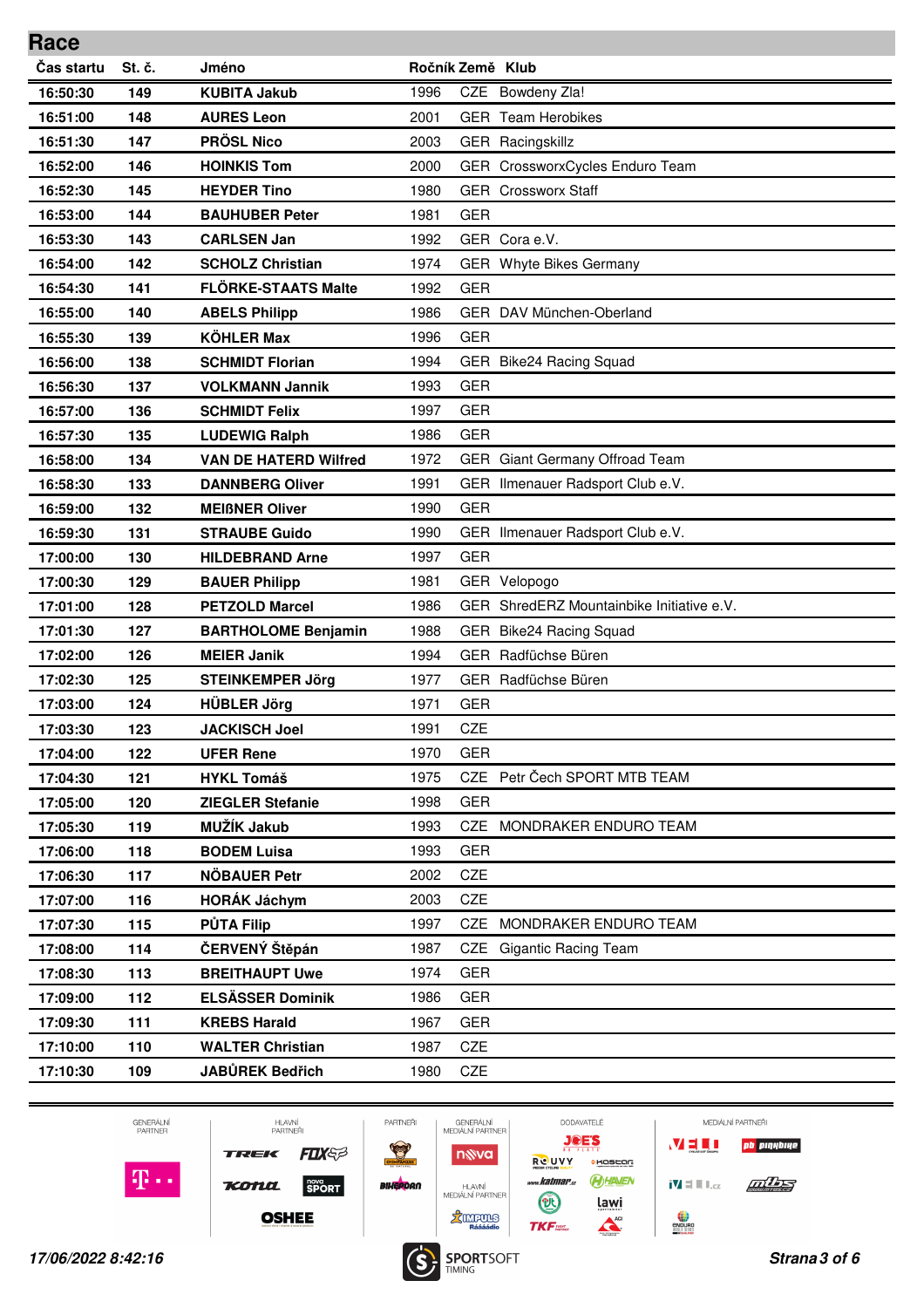| Čas startu<br>St. č.<br>Jméno<br>Ročník Země Klub<br>Bowdeny Zla!<br>149<br><b>KUBITA Jakub</b><br>1996<br><b>CZE</b><br>16:50:30<br>2001<br><b>GER</b> Team Herobikes<br>148<br><b>AURES Leon</b><br>16:51:00<br><b>PRÖSL Nico</b><br>2003<br>16:51:30<br>147<br>GER Racingskillz<br>146<br><b>HOINKIS Tom</b><br>16:52:00<br>2000<br>GER CrossworxCycles Enduro Team<br><b>HEYDER Tino</b><br>1980<br><b>GER</b> Crossworx Staff<br>16:52:30<br>145<br>144<br>1981<br><b>GER</b><br>16:53:00<br><b>BAUHUBER Peter</b><br>GER Cora e.V.<br>143<br><b>CARLSEN Jan</b><br>1992<br>16:53:30<br>142<br>1974<br>GER Whyte Bikes Germany<br>16:54:00<br><b>SCHOLZ Christian</b><br><b>FLÖRKE-STAATS Malte</b><br>16:54:30<br>141<br>1992<br><b>GER</b><br>140<br>1986<br>GER DAV München-Oberland<br>16:55:00<br><b>ABELS Philipp</b><br><b>KÖHLER Max</b><br>1996<br><b>GER</b><br>16:55:30<br>139<br>1994<br>138<br><b>SCHMIDT Florian</b><br>GER Bike24 Racing Squad<br>16:56:00<br>137<br><b>VOLKMANN Jannik</b><br>1993<br><b>GER</b><br>16:56:30<br>136<br>1997<br><b>GER</b><br>16:57:00<br><b>SCHMIDT Felix</b><br>135<br>1986<br><b>GER</b><br>16:57:30<br><b>LUDEWIG Ralph</b><br><b>VAN DE HATERD Wilfred</b><br>1972<br>GER Giant Germany Offroad Team<br>16:58:00<br>134<br>1991<br>GER Ilmenauer Radsport Club e.V.<br>16:58:30<br>133<br><b>DANNBERG Oliver</b><br>132<br><b>GER</b><br>1990<br>16:59:00<br><b>MEIBNER Oliver</b><br>16:59:30<br>131<br><b>STRAUBE Guido</b><br>1990<br>GER Ilmenauer Radsport Club e.V.<br><b>GER</b><br>17:00:00<br>130<br>1997<br><b>HILDEBRAND Arne</b><br>129<br>1981<br>17:00:30<br><b>BAUER Philipp</b><br>GER Velopogo<br>GER ShredERZ Mountainbike Initiative e.V.<br>1986<br>17:01:00<br>128<br><b>PETZOLD Marcel</b><br>127<br>1988<br>17:01:30<br><b>BARTHOLOME Benjamin</b><br>GER Bike24 Racing Squad<br>GER Radfüchse Büren<br>1994<br>17:02:00<br>126<br><b>MEIER Janik</b><br>GER Radfüchse Büren<br>17:02:30<br>125<br><b>STEINKEMPER Jörg</b><br>1977<br><b>HÜBLER Jörg</b><br>1971<br><b>GER</b><br>124<br>17:03:00<br>17:03:30<br>123<br><b>JACKISCH Joel</b><br>1991<br>CZE<br><b>GER</b><br>1970<br>17:04:00<br>122<br><b>UFER Rene</b><br>CZE Petr Čech SPORT MTB TEAM<br><b>HYKL Tomáš</b><br>1975<br>17:04:30<br>121<br><b>GER</b><br>17:05:00<br>120<br><b>ZIEGLER Stefanie</b><br>1998<br>MUŽÍK Jakub<br>119<br>1993<br><b>CZE</b><br>MONDRAKER ENDURO TEAM<br>17:05:30<br><b>GER</b><br>17:06:00<br><b>BODEM Luisa</b><br>1993<br>118<br>NÖBAUER Petr<br>CZE<br>17:06:30<br>117<br>2002<br><b>HORÁK Jáchym</b><br>CZE<br>116<br>2003<br>17:07:00<br><b>PŮTA Filip</b><br>CZE MONDRAKER ENDURO TEAM<br>17:07:30<br>115<br>1997<br>ČERVENÝ Štěpán<br>114<br>1987<br>CZE<br><b>Gigantic Racing Team</b><br>17:08:00<br><b>BREITHAUPT Uwe</b><br>1974<br><b>GER</b><br>17:08:30<br>113<br><b>ELSÄSSER Dominik</b><br><b>GER</b><br>112<br>1986<br>17:09:00 | Race     |     |                     |      |            |  |
|-------------------------------------------------------------------------------------------------------------------------------------------------------------------------------------------------------------------------------------------------------------------------------------------------------------------------------------------------------------------------------------------------------------------------------------------------------------------------------------------------------------------------------------------------------------------------------------------------------------------------------------------------------------------------------------------------------------------------------------------------------------------------------------------------------------------------------------------------------------------------------------------------------------------------------------------------------------------------------------------------------------------------------------------------------------------------------------------------------------------------------------------------------------------------------------------------------------------------------------------------------------------------------------------------------------------------------------------------------------------------------------------------------------------------------------------------------------------------------------------------------------------------------------------------------------------------------------------------------------------------------------------------------------------------------------------------------------------------------------------------------------------------------------------------------------------------------------------------------------------------------------------------------------------------------------------------------------------------------------------------------------------------------------------------------------------------------------------------------------------------------------------------------------------------------------------------------------------------------------------------------------------------------------------------------------------------------------------------------------------------------------------------------------------------------------------------------------------------------------------------------------------------------------------------------------------------------------------------------------------------------------------------------------------------------------------------------------------------------------------------------------------------------------------------------------------------------------------------------------------------------------------------------------------------------|----------|-----|---------------------|------|------------|--|
|                                                                                                                                                                                                                                                                                                                                                                                                                                                                                                                                                                                                                                                                                                                                                                                                                                                                                                                                                                                                                                                                                                                                                                                                                                                                                                                                                                                                                                                                                                                                                                                                                                                                                                                                                                                                                                                                                                                                                                                                                                                                                                                                                                                                                                                                                                                                                                                                                                                                                                                                                                                                                                                                                                                                                                                                                                                                                                                               |          |     |                     |      |            |  |
|                                                                                                                                                                                                                                                                                                                                                                                                                                                                                                                                                                                                                                                                                                                                                                                                                                                                                                                                                                                                                                                                                                                                                                                                                                                                                                                                                                                                                                                                                                                                                                                                                                                                                                                                                                                                                                                                                                                                                                                                                                                                                                                                                                                                                                                                                                                                                                                                                                                                                                                                                                                                                                                                                                                                                                                                                                                                                                                               |          |     |                     |      |            |  |
|                                                                                                                                                                                                                                                                                                                                                                                                                                                                                                                                                                                                                                                                                                                                                                                                                                                                                                                                                                                                                                                                                                                                                                                                                                                                                                                                                                                                                                                                                                                                                                                                                                                                                                                                                                                                                                                                                                                                                                                                                                                                                                                                                                                                                                                                                                                                                                                                                                                                                                                                                                                                                                                                                                                                                                                                                                                                                                                               |          |     |                     |      |            |  |
|                                                                                                                                                                                                                                                                                                                                                                                                                                                                                                                                                                                                                                                                                                                                                                                                                                                                                                                                                                                                                                                                                                                                                                                                                                                                                                                                                                                                                                                                                                                                                                                                                                                                                                                                                                                                                                                                                                                                                                                                                                                                                                                                                                                                                                                                                                                                                                                                                                                                                                                                                                                                                                                                                                                                                                                                                                                                                                                               |          |     |                     |      |            |  |
|                                                                                                                                                                                                                                                                                                                                                                                                                                                                                                                                                                                                                                                                                                                                                                                                                                                                                                                                                                                                                                                                                                                                                                                                                                                                                                                                                                                                                                                                                                                                                                                                                                                                                                                                                                                                                                                                                                                                                                                                                                                                                                                                                                                                                                                                                                                                                                                                                                                                                                                                                                                                                                                                                                                                                                                                                                                                                                                               |          |     |                     |      |            |  |
|                                                                                                                                                                                                                                                                                                                                                                                                                                                                                                                                                                                                                                                                                                                                                                                                                                                                                                                                                                                                                                                                                                                                                                                                                                                                                                                                                                                                                                                                                                                                                                                                                                                                                                                                                                                                                                                                                                                                                                                                                                                                                                                                                                                                                                                                                                                                                                                                                                                                                                                                                                                                                                                                                                                                                                                                                                                                                                                               |          |     |                     |      |            |  |
|                                                                                                                                                                                                                                                                                                                                                                                                                                                                                                                                                                                                                                                                                                                                                                                                                                                                                                                                                                                                                                                                                                                                                                                                                                                                                                                                                                                                                                                                                                                                                                                                                                                                                                                                                                                                                                                                                                                                                                                                                                                                                                                                                                                                                                                                                                                                                                                                                                                                                                                                                                                                                                                                                                                                                                                                                                                                                                                               |          |     |                     |      |            |  |
|                                                                                                                                                                                                                                                                                                                                                                                                                                                                                                                                                                                                                                                                                                                                                                                                                                                                                                                                                                                                                                                                                                                                                                                                                                                                                                                                                                                                                                                                                                                                                                                                                                                                                                                                                                                                                                                                                                                                                                                                                                                                                                                                                                                                                                                                                                                                                                                                                                                                                                                                                                                                                                                                                                                                                                                                                                                                                                                               |          |     |                     |      |            |  |
|                                                                                                                                                                                                                                                                                                                                                                                                                                                                                                                                                                                                                                                                                                                                                                                                                                                                                                                                                                                                                                                                                                                                                                                                                                                                                                                                                                                                                                                                                                                                                                                                                                                                                                                                                                                                                                                                                                                                                                                                                                                                                                                                                                                                                                                                                                                                                                                                                                                                                                                                                                                                                                                                                                                                                                                                                                                                                                                               |          |     |                     |      |            |  |
|                                                                                                                                                                                                                                                                                                                                                                                                                                                                                                                                                                                                                                                                                                                                                                                                                                                                                                                                                                                                                                                                                                                                                                                                                                                                                                                                                                                                                                                                                                                                                                                                                                                                                                                                                                                                                                                                                                                                                                                                                                                                                                                                                                                                                                                                                                                                                                                                                                                                                                                                                                                                                                                                                                                                                                                                                                                                                                                               |          |     |                     |      |            |  |
|                                                                                                                                                                                                                                                                                                                                                                                                                                                                                                                                                                                                                                                                                                                                                                                                                                                                                                                                                                                                                                                                                                                                                                                                                                                                                                                                                                                                                                                                                                                                                                                                                                                                                                                                                                                                                                                                                                                                                                                                                                                                                                                                                                                                                                                                                                                                                                                                                                                                                                                                                                                                                                                                                                                                                                                                                                                                                                                               |          |     |                     |      |            |  |
|                                                                                                                                                                                                                                                                                                                                                                                                                                                                                                                                                                                                                                                                                                                                                                                                                                                                                                                                                                                                                                                                                                                                                                                                                                                                                                                                                                                                                                                                                                                                                                                                                                                                                                                                                                                                                                                                                                                                                                                                                                                                                                                                                                                                                                                                                                                                                                                                                                                                                                                                                                                                                                                                                                                                                                                                                                                                                                                               |          |     |                     |      |            |  |
|                                                                                                                                                                                                                                                                                                                                                                                                                                                                                                                                                                                                                                                                                                                                                                                                                                                                                                                                                                                                                                                                                                                                                                                                                                                                                                                                                                                                                                                                                                                                                                                                                                                                                                                                                                                                                                                                                                                                                                                                                                                                                                                                                                                                                                                                                                                                                                                                                                                                                                                                                                                                                                                                                                                                                                                                                                                                                                                               |          |     |                     |      |            |  |
|                                                                                                                                                                                                                                                                                                                                                                                                                                                                                                                                                                                                                                                                                                                                                                                                                                                                                                                                                                                                                                                                                                                                                                                                                                                                                                                                                                                                                                                                                                                                                                                                                                                                                                                                                                                                                                                                                                                                                                                                                                                                                                                                                                                                                                                                                                                                                                                                                                                                                                                                                                                                                                                                                                                                                                                                                                                                                                                               |          |     |                     |      |            |  |
|                                                                                                                                                                                                                                                                                                                                                                                                                                                                                                                                                                                                                                                                                                                                                                                                                                                                                                                                                                                                                                                                                                                                                                                                                                                                                                                                                                                                                                                                                                                                                                                                                                                                                                                                                                                                                                                                                                                                                                                                                                                                                                                                                                                                                                                                                                                                                                                                                                                                                                                                                                                                                                                                                                                                                                                                                                                                                                                               |          |     |                     |      |            |  |
|                                                                                                                                                                                                                                                                                                                                                                                                                                                                                                                                                                                                                                                                                                                                                                                                                                                                                                                                                                                                                                                                                                                                                                                                                                                                                                                                                                                                                                                                                                                                                                                                                                                                                                                                                                                                                                                                                                                                                                                                                                                                                                                                                                                                                                                                                                                                                                                                                                                                                                                                                                                                                                                                                                                                                                                                                                                                                                                               |          |     |                     |      |            |  |
|                                                                                                                                                                                                                                                                                                                                                                                                                                                                                                                                                                                                                                                                                                                                                                                                                                                                                                                                                                                                                                                                                                                                                                                                                                                                                                                                                                                                                                                                                                                                                                                                                                                                                                                                                                                                                                                                                                                                                                                                                                                                                                                                                                                                                                                                                                                                                                                                                                                                                                                                                                                                                                                                                                                                                                                                                                                                                                                               |          |     |                     |      |            |  |
|                                                                                                                                                                                                                                                                                                                                                                                                                                                                                                                                                                                                                                                                                                                                                                                                                                                                                                                                                                                                                                                                                                                                                                                                                                                                                                                                                                                                                                                                                                                                                                                                                                                                                                                                                                                                                                                                                                                                                                                                                                                                                                                                                                                                                                                                                                                                                                                                                                                                                                                                                                                                                                                                                                                                                                                                                                                                                                                               |          |     |                     |      |            |  |
|                                                                                                                                                                                                                                                                                                                                                                                                                                                                                                                                                                                                                                                                                                                                                                                                                                                                                                                                                                                                                                                                                                                                                                                                                                                                                                                                                                                                                                                                                                                                                                                                                                                                                                                                                                                                                                                                                                                                                                                                                                                                                                                                                                                                                                                                                                                                                                                                                                                                                                                                                                                                                                                                                                                                                                                                                                                                                                                               |          |     |                     |      |            |  |
|                                                                                                                                                                                                                                                                                                                                                                                                                                                                                                                                                                                                                                                                                                                                                                                                                                                                                                                                                                                                                                                                                                                                                                                                                                                                                                                                                                                                                                                                                                                                                                                                                                                                                                                                                                                                                                                                                                                                                                                                                                                                                                                                                                                                                                                                                                                                                                                                                                                                                                                                                                                                                                                                                                                                                                                                                                                                                                                               |          |     |                     |      |            |  |
|                                                                                                                                                                                                                                                                                                                                                                                                                                                                                                                                                                                                                                                                                                                                                                                                                                                                                                                                                                                                                                                                                                                                                                                                                                                                                                                                                                                                                                                                                                                                                                                                                                                                                                                                                                                                                                                                                                                                                                                                                                                                                                                                                                                                                                                                                                                                                                                                                                                                                                                                                                                                                                                                                                                                                                                                                                                                                                                               |          |     |                     |      |            |  |
|                                                                                                                                                                                                                                                                                                                                                                                                                                                                                                                                                                                                                                                                                                                                                                                                                                                                                                                                                                                                                                                                                                                                                                                                                                                                                                                                                                                                                                                                                                                                                                                                                                                                                                                                                                                                                                                                                                                                                                                                                                                                                                                                                                                                                                                                                                                                                                                                                                                                                                                                                                                                                                                                                                                                                                                                                                                                                                                               |          |     |                     |      |            |  |
|                                                                                                                                                                                                                                                                                                                                                                                                                                                                                                                                                                                                                                                                                                                                                                                                                                                                                                                                                                                                                                                                                                                                                                                                                                                                                                                                                                                                                                                                                                                                                                                                                                                                                                                                                                                                                                                                                                                                                                                                                                                                                                                                                                                                                                                                                                                                                                                                                                                                                                                                                                                                                                                                                                                                                                                                                                                                                                                               |          |     |                     |      |            |  |
|                                                                                                                                                                                                                                                                                                                                                                                                                                                                                                                                                                                                                                                                                                                                                                                                                                                                                                                                                                                                                                                                                                                                                                                                                                                                                                                                                                                                                                                                                                                                                                                                                                                                                                                                                                                                                                                                                                                                                                                                                                                                                                                                                                                                                                                                                                                                                                                                                                                                                                                                                                                                                                                                                                                                                                                                                                                                                                                               |          |     |                     |      |            |  |
|                                                                                                                                                                                                                                                                                                                                                                                                                                                                                                                                                                                                                                                                                                                                                                                                                                                                                                                                                                                                                                                                                                                                                                                                                                                                                                                                                                                                                                                                                                                                                                                                                                                                                                                                                                                                                                                                                                                                                                                                                                                                                                                                                                                                                                                                                                                                                                                                                                                                                                                                                                                                                                                                                                                                                                                                                                                                                                                               |          |     |                     |      |            |  |
|                                                                                                                                                                                                                                                                                                                                                                                                                                                                                                                                                                                                                                                                                                                                                                                                                                                                                                                                                                                                                                                                                                                                                                                                                                                                                                                                                                                                                                                                                                                                                                                                                                                                                                                                                                                                                                                                                                                                                                                                                                                                                                                                                                                                                                                                                                                                                                                                                                                                                                                                                                                                                                                                                                                                                                                                                                                                                                                               |          |     |                     |      |            |  |
|                                                                                                                                                                                                                                                                                                                                                                                                                                                                                                                                                                                                                                                                                                                                                                                                                                                                                                                                                                                                                                                                                                                                                                                                                                                                                                                                                                                                                                                                                                                                                                                                                                                                                                                                                                                                                                                                                                                                                                                                                                                                                                                                                                                                                                                                                                                                                                                                                                                                                                                                                                                                                                                                                                                                                                                                                                                                                                                               |          |     |                     |      |            |  |
|                                                                                                                                                                                                                                                                                                                                                                                                                                                                                                                                                                                                                                                                                                                                                                                                                                                                                                                                                                                                                                                                                                                                                                                                                                                                                                                                                                                                                                                                                                                                                                                                                                                                                                                                                                                                                                                                                                                                                                                                                                                                                                                                                                                                                                                                                                                                                                                                                                                                                                                                                                                                                                                                                                                                                                                                                                                                                                                               |          |     |                     |      |            |  |
|                                                                                                                                                                                                                                                                                                                                                                                                                                                                                                                                                                                                                                                                                                                                                                                                                                                                                                                                                                                                                                                                                                                                                                                                                                                                                                                                                                                                                                                                                                                                                                                                                                                                                                                                                                                                                                                                                                                                                                                                                                                                                                                                                                                                                                                                                                                                                                                                                                                                                                                                                                                                                                                                                                                                                                                                                                                                                                                               |          |     |                     |      |            |  |
|                                                                                                                                                                                                                                                                                                                                                                                                                                                                                                                                                                                                                                                                                                                                                                                                                                                                                                                                                                                                                                                                                                                                                                                                                                                                                                                                                                                                                                                                                                                                                                                                                                                                                                                                                                                                                                                                                                                                                                                                                                                                                                                                                                                                                                                                                                                                                                                                                                                                                                                                                                                                                                                                                                                                                                                                                                                                                                                               |          |     |                     |      |            |  |
|                                                                                                                                                                                                                                                                                                                                                                                                                                                                                                                                                                                                                                                                                                                                                                                                                                                                                                                                                                                                                                                                                                                                                                                                                                                                                                                                                                                                                                                                                                                                                                                                                                                                                                                                                                                                                                                                                                                                                                                                                                                                                                                                                                                                                                                                                                                                                                                                                                                                                                                                                                                                                                                                                                                                                                                                                                                                                                                               |          |     |                     |      |            |  |
|                                                                                                                                                                                                                                                                                                                                                                                                                                                                                                                                                                                                                                                                                                                                                                                                                                                                                                                                                                                                                                                                                                                                                                                                                                                                                                                                                                                                                                                                                                                                                                                                                                                                                                                                                                                                                                                                                                                                                                                                                                                                                                                                                                                                                                                                                                                                                                                                                                                                                                                                                                                                                                                                                                                                                                                                                                                                                                                               |          |     |                     |      |            |  |
|                                                                                                                                                                                                                                                                                                                                                                                                                                                                                                                                                                                                                                                                                                                                                                                                                                                                                                                                                                                                                                                                                                                                                                                                                                                                                                                                                                                                                                                                                                                                                                                                                                                                                                                                                                                                                                                                                                                                                                                                                                                                                                                                                                                                                                                                                                                                                                                                                                                                                                                                                                                                                                                                                                                                                                                                                                                                                                                               |          |     |                     |      |            |  |
|                                                                                                                                                                                                                                                                                                                                                                                                                                                                                                                                                                                                                                                                                                                                                                                                                                                                                                                                                                                                                                                                                                                                                                                                                                                                                                                                                                                                                                                                                                                                                                                                                                                                                                                                                                                                                                                                                                                                                                                                                                                                                                                                                                                                                                                                                                                                                                                                                                                                                                                                                                                                                                                                                                                                                                                                                                                                                                                               |          |     |                     |      |            |  |
|                                                                                                                                                                                                                                                                                                                                                                                                                                                                                                                                                                                                                                                                                                                                                                                                                                                                                                                                                                                                                                                                                                                                                                                                                                                                                                                                                                                                                                                                                                                                                                                                                                                                                                                                                                                                                                                                                                                                                                                                                                                                                                                                                                                                                                                                                                                                                                                                                                                                                                                                                                                                                                                                                                                                                                                                                                                                                                                               |          |     |                     |      |            |  |
|                                                                                                                                                                                                                                                                                                                                                                                                                                                                                                                                                                                                                                                                                                                                                                                                                                                                                                                                                                                                                                                                                                                                                                                                                                                                                                                                                                                                                                                                                                                                                                                                                                                                                                                                                                                                                                                                                                                                                                                                                                                                                                                                                                                                                                                                                                                                                                                                                                                                                                                                                                                                                                                                                                                                                                                                                                                                                                                               |          |     |                     |      |            |  |
|                                                                                                                                                                                                                                                                                                                                                                                                                                                                                                                                                                                                                                                                                                                                                                                                                                                                                                                                                                                                                                                                                                                                                                                                                                                                                                                                                                                                                                                                                                                                                                                                                                                                                                                                                                                                                                                                                                                                                                                                                                                                                                                                                                                                                                                                                                                                                                                                                                                                                                                                                                                                                                                                                                                                                                                                                                                                                                                               |          |     |                     |      |            |  |
|                                                                                                                                                                                                                                                                                                                                                                                                                                                                                                                                                                                                                                                                                                                                                                                                                                                                                                                                                                                                                                                                                                                                                                                                                                                                                                                                                                                                                                                                                                                                                                                                                                                                                                                                                                                                                                                                                                                                                                                                                                                                                                                                                                                                                                                                                                                                                                                                                                                                                                                                                                                                                                                                                                                                                                                                                                                                                                                               |          |     |                     |      |            |  |
|                                                                                                                                                                                                                                                                                                                                                                                                                                                                                                                                                                                                                                                                                                                                                                                                                                                                                                                                                                                                                                                                                                                                                                                                                                                                                                                                                                                                                                                                                                                                                                                                                                                                                                                                                                                                                                                                                                                                                                                                                                                                                                                                                                                                                                                                                                                                                                                                                                                                                                                                                                                                                                                                                                                                                                                                                                                                                                                               |          |     |                     |      |            |  |
|                                                                                                                                                                                                                                                                                                                                                                                                                                                                                                                                                                                                                                                                                                                                                                                                                                                                                                                                                                                                                                                                                                                                                                                                                                                                                                                                                                                                                                                                                                                                                                                                                                                                                                                                                                                                                                                                                                                                                                                                                                                                                                                                                                                                                                                                                                                                                                                                                                                                                                                                                                                                                                                                                                                                                                                                                                                                                                                               | 17:09:30 | 111 | <b>KREBS Harald</b> | 1967 | <b>GER</b> |  |
| CZE<br>17:10:00<br><b>WALTER Christian</b><br>1987<br>110                                                                                                                                                                                                                                                                                                                                                                                                                                                                                                                                                                                                                                                                                                                                                                                                                                                                                                                                                                                                                                                                                                                                                                                                                                                                                                                                                                                                                                                                                                                                                                                                                                                                                                                                                                                                                                                                                                                                                                                                                                                                                                                                                                                                                                                                                                                                                                                                                                                                                                                                                                                                                                                                                                                                                                                                                                                                     |          |     |                     |      |            |  |
| JABŮREK Bedřich<br>CZE<br>17:10:30<br>109<br>1980                                                                                                                                                                                                                                                                                                                                                                                                                                                                                                                                                                                                                                                                                                                                                                                                                                                                                                                                                                                                                                                                                                                                                                                                                                                                                                                                                                                                                                                                                                                                                                                                                                                                                                                                                                                                                                                                                                                                                                                                                                                                                                                                                                                                                                                                                                                                                                                                                                                                                                                                                                                                                                                                                                                                                                                                                                                                             |          |     |                     |      |            |  |

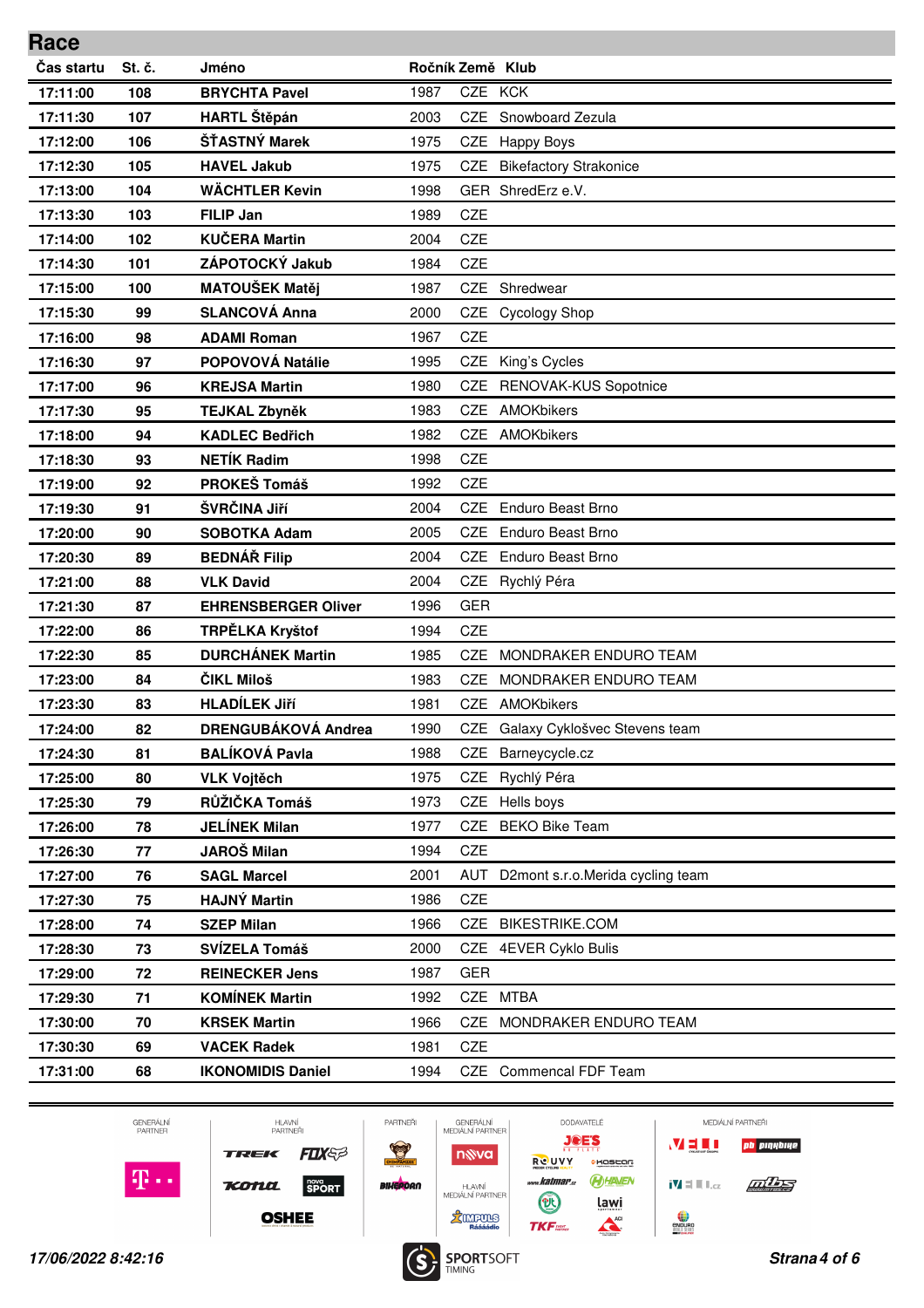| Race       |        |                            |      |                  |                                  |
|------------|--------|----------------------------|------|------------------|----------------------------------|
| Čas startu | St. č. | Jméno                      |      | Ročník Země Klub |                                  |
| 17:11:00   | 108    | <b>BRYCHTA Pavel</b>       | 1987 | CZE KCK          |                                  |
| 17:11:30   | 107    | <b>HARTL Štěpán</b>        | 2003 | <b>CZE</b>       | Snowboard Zezula                 |
| 17:12:00   | 106    | ŠŤASTNÝ Marek              | 1975 | CZE              | Happy Boys                       |
| 17:12:30   | 105    | <b>HAVEL Jakub</b>         | 1975 | CZE              | <b>Bikefactory Strakonice</b>    |
| 17:13:00   | 104    | <b>WÄCHTLER Kevin</b>      | 1998 |                  | GER ShredErz e.V.                |
| 17:13:30   | 103    | <b>FILIP Jan</b>           | 1989 | <b>CZE</b>       |                                  |
| 17:14:00   | 102    | <b>KUČERA Martin</b>       | 2004 | <b>CZE</b>       |                                  |
| 17:14:30   | 101    | ZÁPOTOCKÝ Jakub            | 1984 | <b>CZE</b>       |                                  |
| 17:15:00   | 100    | <b>MATOUŠEK Matěj</b>      | 1987 | <b>CZE</b>       | Shredwear                        |
| 17:15:30   | 99     | <b>SLANCOVÁ Anna</b>       | 2000 | CZE              | Cycology Shop                    |
| 17:16:00   | 98     | <b>ADAMI Roman</b>         | 1967 | CZE              |                                  |
| 17:16:30   | 97     | POPOVOVÁ Natálie           | 1995 | CZE              | King's Cycles                    |
| 17:17:00   | 96     | <b>KREJSA Martin</b>       | 1980 | <b>CZE</b>       | RENOVAK-KUS Sopotnice            |
| 17:17:30   | 95     | TEJKAL Zbyněk              | 1983 | CZE              | AMOKbikers                       |
| 17:18:00   | 94     | <b>KADLEC Bedřich</b>      | 1982 | <b>CZE</b>       | AMOKbikers                       |
| 17:18:30   | 93     | <b>NETÍK Radim</b>         | 1998 | <b>CZE</b>       |                                  |
| 17:19:00   | 92     | PROKEŠ Tomáš               | 1992 | CZE              |                                  |
| 17:19:30   | 91     | ŠVRČINA Jiří               | 2004 | <b>CZE</b>       | <b>Enduro Beast Brno</b>         |
| 17:20:00   | 90     | <b>SOBOTKA Adam</b>        | 2005 | <b>CZE</b>       | <b>Enduro Beast Brno</b>         |
| 17:20:30   | 89     | <b>BEDNÁŘ Filip</b>        | 2004 | <b>CZE</b>       | <b>Enduro Beast Brno</b>         |
| 17:21:00   | 88     | <b>VLK David</b>           | 2004 | <b>CZE</b>       | Rychlý Péra                      |
| 17:21:30   | 87     | <b>EHRENSBERGER Oliver</b> | 1996 | <b>GER</b>       |                                  |
| 17:22:00   | 86     | TRPĚLKA Kryštof            | 1994 | <b>CZE</b>       |                                  |
| 17:22:30   | 85     | <b>DURCHÁNEK Martin</b>    | 1985 | CZE              | MONDRAKER ENDURO TEAM            |
| 17:23:00   | 84     | ČIKL Miloš                 | 1983 | CZE              | MONDRAKER ENDURO TEAM            |
| 17:23:30   | 83     | <b>HLADÍLEK Jiří</b>       | 1981 | <b>CZE</b>       | AMOKbikers                       |
| 17:24:00   | 82     | <b>DRENGUBÁKOVÁ Andrea</b> | 1990 | CZE              | Galaxy Cyklošvec Stevens team    |
| 17:24:30   | 81     | <b>BALÍKOVÁ Pavla</b>      | 1988 | CZE              | Barneycycle.cz                   |
| 17:25:00   | 80     | <b>VLK Vojtěch</b>         | 1975 | CZE              | Rychlý Péra                      |
| 17:25:30   | 79     | RŮŽIČKA Tomáš              | 1973 | CZE              | Hells boys                       |
| 17:26:00   | 78     | <b>JELÍNEK Milan</b>       | 1977 | CZE              | <b>BEKO Bike Team</b>            |
| 17:26:30   | 77     | JAROŠ Milan                | 1994 | CZE              |                                  |
| 17:27:00   | 76     | <b>SAGL Marcel</b>         | 2001 | AUT              | D2mont s.r.o.Merida cycling team |
| 17:27:30   | 75     | <b>HAJNÝ Martin</b>        | 1986 | CZE              |                                  |
| 17:28:00   | 74     | <b>SZEP Milan</b>          | 1966 | CZE              | <b>BIKESTRIKE.COM</b>            |
| 17:28:30   | 73     | SVÍZELA Tomáš              | 2000 |                  | CZE 4EVER Cyklo Bulis            |
| 17:29:00   | 72     | <b>REINECKER Jens</b>      | 1987 | <b>GER</b>       |                                  |
| 17:29:30   | 71     | <b>KOMÍNEK Martin</b>      | 1992 |                  | CZE MTBA                         |
| 17:30:00   | 70     | <b>KRSEK Martin</b>        | 1966 | CZE              | MONDRAKER ENDURO TEAM            |
| 17:30:30   | 69     | <b>VACEK Radek</b>         | 1981 | CZE              |                                  |
| 17:31:00   | 68     | <b>IKONOMIDIS Daniel</b>   | 1994 |                  | CZE Commencal FDF Team           |
|            |        |                            |      |                  |                                  |

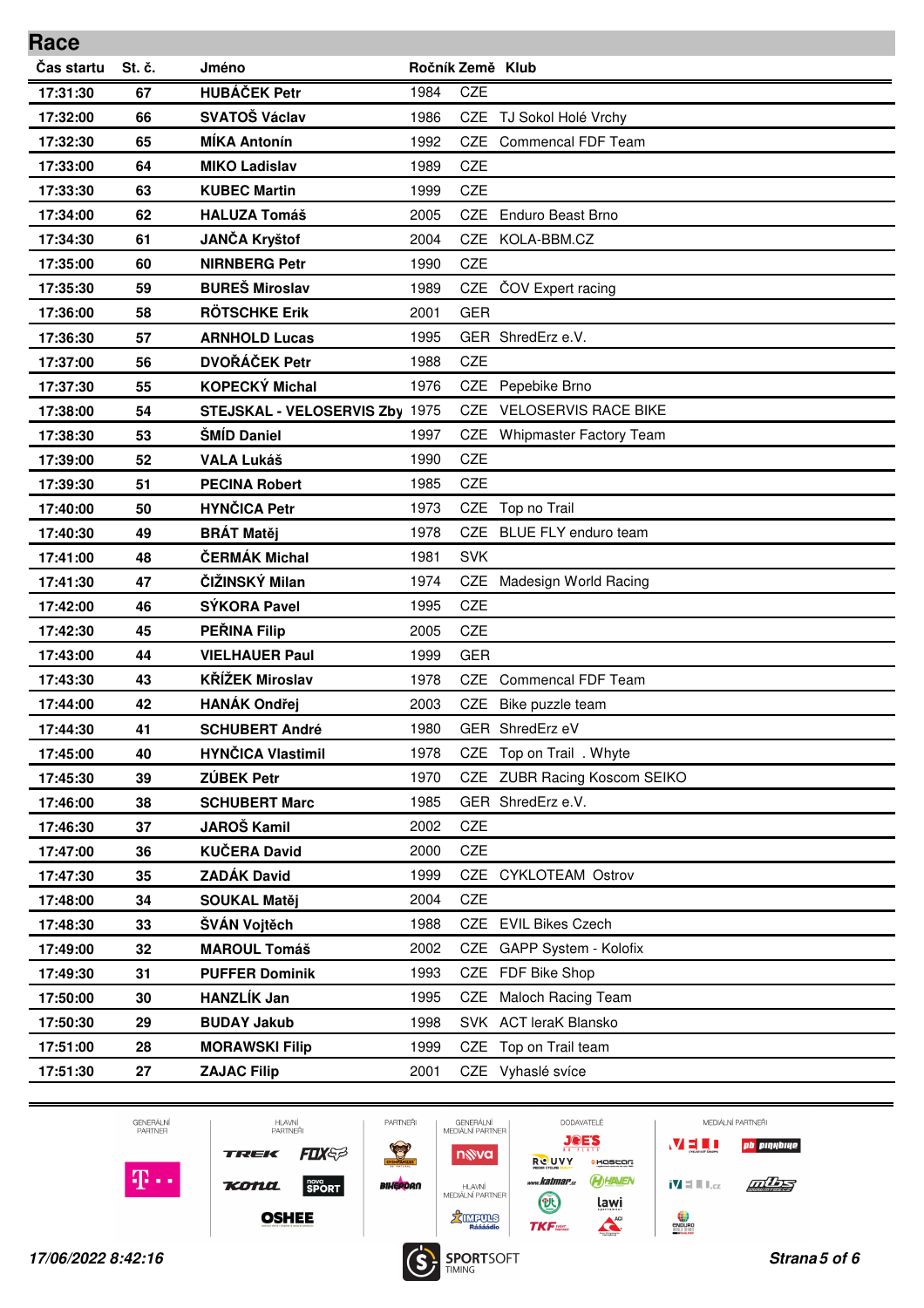| Race       |        |                                |      |                  |                                 |
|------------|--------|--------------------------------|------|------------------|---------------------------------|
| Čas startu | St. č. | Jméno                          |      | Ročník Země Klub |                                 |
| 17:31:30   | 67     | <b>HUBÁČEK Petr</b>            | 1984 | <b>CZE</b>       |                                 |
| 17:32:00   | 66     | <b>SVATOŠ Václav</b>           | 1986 |                  | CZE TJ Sokol Holé Vrchy         |
| 17:32:30   | 65     | <b>MÍKA Antonín</b>            | 1992 | CZE.             | Commencal FDF Team              |
| 17:33:00   | 64     | <b>MIKO Ladislav</b>           | 1989 | <b>CZE</b>       |                                 |
| 17:33:30   | 63     | <b>KUBEC Martin</b>            | 1999 | CZE              |                                 |
| 17:34:00   | 62     | <b>HALUZA Tomáš</b>            | 2005 | <b>CZE</b>       | Enduro Beast Brno               |
| 17:34:30   | 61     | <b>JANČA Kryštof</b>           | 2004 |                  | CZE KOLA-BBM.CZ                 |
| 17:35:00   | 60     | <b>NIRNBERG Petr</b>           | 1990 | CZE              |                                 |
| 17:35:30   | 59     | <b>BUREŠ Miroslav</b>          | 1989 | <b>CZE</b>       | ČOV Expert racing               |
| 17:36:00   | 58     | <b>RÖTSCHKE Erik</b>           | 2001 | <b>GER</b>       |                                 |
| 17:36:30   | 57     | <b>ARNHOLD Lucas</b>           | 1995 |                  | GER ShredErz e.V.               |
| 17:37:00   | 56     | <b>DVOŘÁČEK Petr</b>           | 1988 | <b>CZE</b>       |                                 |
| 17:37:30   | 55     | <b>KOPECKÝ Michal</b>          | 1976 | <b>CZE</b>       | Pepebike Brno                   |
| 17:38:00   | 54     | STEJSKAL - VELOSERVIS Zby 1975 |      | CZE              | <b>VELOSERVIS RACE BIKE</b>     |
| 17:38:30   | 53     | <b>ŠMÍD Daniel</b>             | 1997 | CZE.             | <b>Whipmaster Factory Team</b>  |
| 17:39:00   | 52     | <b>VALA Lukáš</b>              | 1990 | CZE              |                                 |
| 17:39:30   | 51     | <b>PECINA Robert</b>           | 1985 | <b>CZE</b>       |                                 |
| 17:40:00   | 50     | <b>HYNČICA Petr</b>            | 1973 | <b>CZE</b>       | Top no Trail                    |
| 17:40:30   | 49     | <b>BRÁT Matěj</b>              | 1978 | CZE              | <b>BLUE FLY enduro team</b>     |
| 17:41:00   | 48     | ČERMÁK Michal                  | 1981 | <b>SVK</b>       |                                 |
| 17:41:30   | 47     | ČIŽINSKÝ Milan                 | 1974 | <b>CZE</b>       | Madesign World Racing           |
| 17:42:00   | 46     | <b>SÝKORA Pavel</b>            | 1995 | <b>CZE</b>       |                                 |
| 17:42:30   | 45     | <b>PEŘINA Filip</b>            | 2005 | CZE              |                                 |
| 17:43:00   | 44     | <b>VIELHAUER Paul</b>          | 1999 | <b>GER</b>       |                                 |
| 17:43:30   | 43     | <b>KŘÍŽEK Miroslav</b>         | 1978 | <b>CZE</b>       | <b>Commencal FDF Team</b>       |
| 17:44:00   | 42     | <b>HANÁK Ondřej</b>            | 2003 | CZE              | Bike puzzle team                |
| 17:44:30   | 41     | <b>SCHUBERT André</b>          | 1980 |                  | GER ShredErz eV                 |
| 17:45:00   | 40     | <b>HYNČICA Vlastimil</b>       | 1978 | CZE              | Top on Trail . Whyte            |
| 17:45:30   | 39     | ZÚBEK Petr                     | 1970 | CZE              | <b>ZUBR Racing Koscom SEIKO</b> |
| 17:46:00   | 38     | <b>SCHUBERT Marc</b>           | 1985 |                  | GER ShredErz e.V.               |
| 17:46:30   | 37     | <b>JAROŠ Kamil</b>             | 2002 | CZE              |                                 |
| 17:47:00   | 36     | <b>KUČERA David</b>            | 2000 | CZE              |                                 |
| 17:47:30   | 35     | <b>ZADÁK David</b>             | 1999 | CZE              | <b>CYKLOTEAM Ostrov</b>         |
| 17:48:00   | 34     | <b>SOUKAL Matěj</b>            | 2004 | CZE              |                                 |
| 17:48:30   | 33     | ŠVÁN Vojtěch                   | 1988 |                  | CZE EVIL Bikes Czech            |
| 17:49:00   | 32     | <b>MAROUL Tomáš</b>            | 2002 | CZE              | GAPP System - Kolofix           |
| 17:49:30   | 31     | <b>PUFFER Dominik</b>          | 1993 |                  | CZE FDF Bike Shop               |
| 17:50:00   | 30     | <b>HANZLÍK Jan</b>             | 1995 | CZE              | Maloch Racing Team              |
| 17:50:30   | 29     | <b>BUDAY Jakub</b>             | 1998 |                  | SVK ACT leraK Blansko           |
| 17:51:00   | 28     | <b>MORAWSKI Filip</b>          | 1999 |                  | CZE Top on Trail team           |
| 17:51:30   | 27     | <b>ZAJAC Filip</b>             | 2001 |                  | CZE Vyhaslé svíce               |